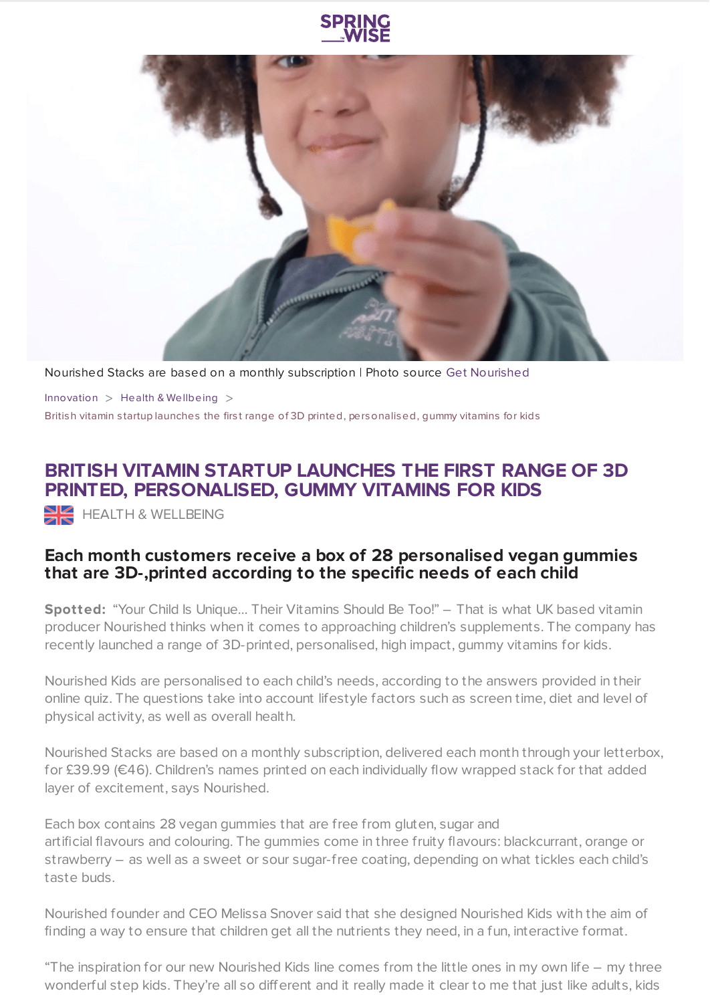



Nourished Stacks are based on a monthly subscription | Photo source Get [Nourished](https://get-nourished.com/)

[Innovation](https://www.springwise.com/search?type=innovation)  $>$  Health & [Wellbeing](https://www.springwise.com/search?type=innovation§or=health-wellbeing)  $>$ British vitamin s tartup launches the firs t range of 3D printed, personalised, gummy vitamins for kids

## **BRITISH VITAMIN STARTUP LAUNCHES THE FIRST RANGE OF 3D PRINTED, PERSONALISED, GUMMY VITAMINS FOR KIDS**

 $\geq$  HEALTH & WELLBEING

## **Each month customers receive a box of 28 personalised vegan gummies that are 3D-,printed according to the specific needs of each child**

**Spotted:** "Your Child Is Unique… Their Vitamins Should Be Too!" – That is what UK based vitamin producer Nourished thinks when it comes to approaching children's supplements. The company has recently launched a range of 3D-printed, personalised, high impact, gummy vitamins for kids.

Nourished Kids are personalised to each child's needs, according to the answers provided in their online quiz. The questions take into account lifestyle factors such as screen time, diet and level of physical activity, as well as overall health.

Nourished Stacks are based on a monthly subscription, delivered each month through your letterbox, for £39.99 (€46). Children's names printed on each individually flow wrapped stack for that added layer of excitement, says Nourished.

Each box contains 28 vegan gummies that are free from gluten, sugar and artificial flavours and colouring. The gummies come in three fruity flavours: blackcurrant, orange or strawberry – as well as a sweet or sour sugar-free coating, depending on what tickles each child's taste buds.

Nourished founder and CEO Melissa Snover said that she designed Nourished Kids with the aim of finding a way to ensure that children get all the nutrients they need, in a fun, interactive format.

"The inspiration for our new Nourished Kids line comes from the little ones in my own life – my three wonderful step kids. They're all so different and it really made it clear to me that just like adults, kids